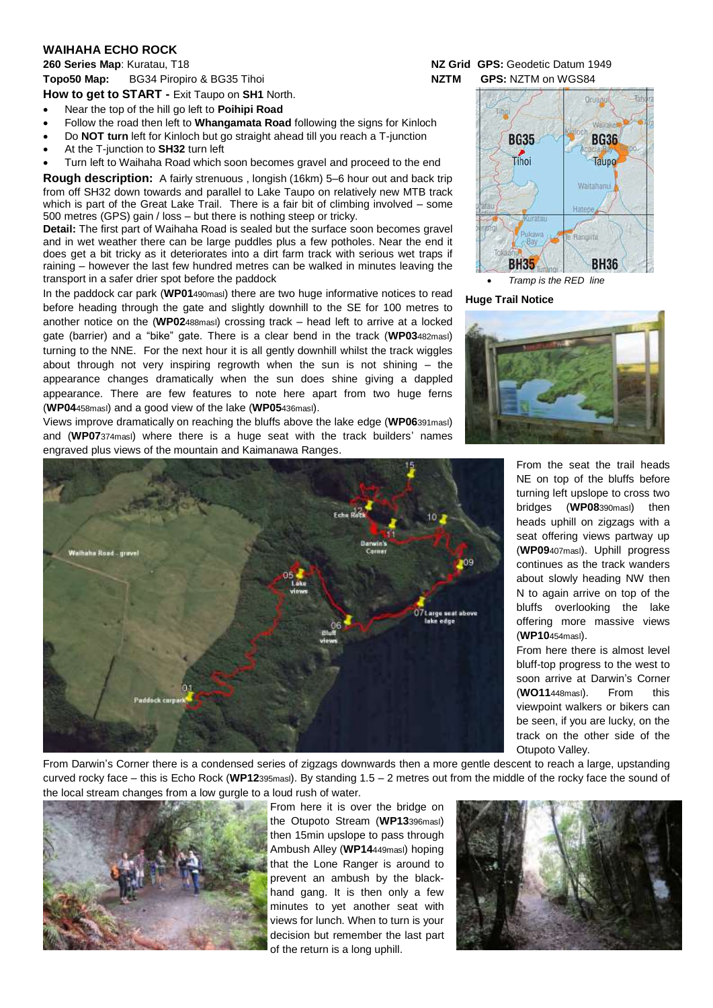## **WAIHAHA ECHO ROCK**

**260 Series Map**: Kuratau, T18 **NZ Grid GPS:** Geodetic Datum 1949 **Topo50 Map:** BG34 Piropiro & BG35 Tihoi **NZTM GPS:** NZTM on WGS84 **How to get to START -** Exit Taupo on **SH1** North.

At the T-junction to **SH32** turn left

Near the top of the hill go left to **Poihipi Road**

500 metres (GPS) gain / loss – but there is nothing steep or tricky.

(**WP04**458masl) and a good view of the lake (**WP05**436masl).

 Follow the road then left to **Whangamata Road** following the signs for Kinloch Do **NOT turn** left for Kinloch but go straight ahead till you reach a T-junction

 Turn left to Waihaha Road which soon becomes gravel and proceed to the end **Rough description:** A fairly strenuous , longish (16km) 5–6 hour out and back trip from off SH32 down towards and parallel to Lake Taupo on relatively new MTB track which is part of the Great Lake Trail. There is a fair bit of climbing involved – some

**Detail:** The first part of Waihaha Road is sealed but the surface soon becomes gravel and in wet weather there can be large puddles plus a few potholes. Near the end it does get a bit tricky as it deteriorates into a dirt farm track with serious wet traps if raining – however the last few hundred metres can be walked in minutes leaving the

In the paddock car park (**WP01**490masl) there are two huge informative notices to read before heading through the gate and slightly downhill to the SE for 100 metres to another notice on the (**WP02**488masl) crossing track – head left to arrive at a locked gate (barrier) and a "bike" gate. There is a clear bend in the track (**WP03**482masl) turning to the NNE. For the next hour it is all gently downhill whilst the track wiggles about through not very inspiring regrowth when the sun is not shining – the appearance changes dramatically when the sun does shine giving a dappled appearance. There are few features to note here apart from two huge ferns

Views improve dramatically on reaching the bluffs above the lake edge (**WP06**391masl) and (**WP07**374masl) where there is a huge seat with the track builders' names

Oniano



transport in a safer drier spot before the paddock *Tramp is the RED line*

## **Huge Trail Notice**



From the seat the trail heads NE on top of the bluffs before turning left upslope to cross two bridges (**WP08**390masl) then heads uphill on zigzags with a seat offering views partway up (**WP09**407masl). Uphill progress continues as the track wanders about slowly heading NW then N to again arrive on top of the bluffs overlooking the lake offering more massive views (**WP10**454masl).

From here there is almost level bluff-top progress to the west to soon arrive at Darwin's Corner (**WO11**448masl). From this viewpoint walkers or bikers can be seen, if you are lucky, on the track on the other side of the Otupoto Valley.

From Darwin's Corner there is a condensed series of zigzags downwards then a more gentle descent to reach a large, upstanding curved rocky face – this is Echo Rock (**WP12**395masl). By standing 1.5 – 2 metres out from the middle of the rocky face the sound of the local stream changes from a low gurgle to a loud rush of water.



From here it is over the bridge on the Otupoto Stream (**WP13**396masl) then 15min upslope to pass through Ambush Alley (**WP14**449masl) hoping that the Lone Ranger is around to prevent an ambush by the blackhand gang. It is then only a few minutes to yet another seat with views for lunch. When to turn is your decision but remember the last part of the return is a long uphill.